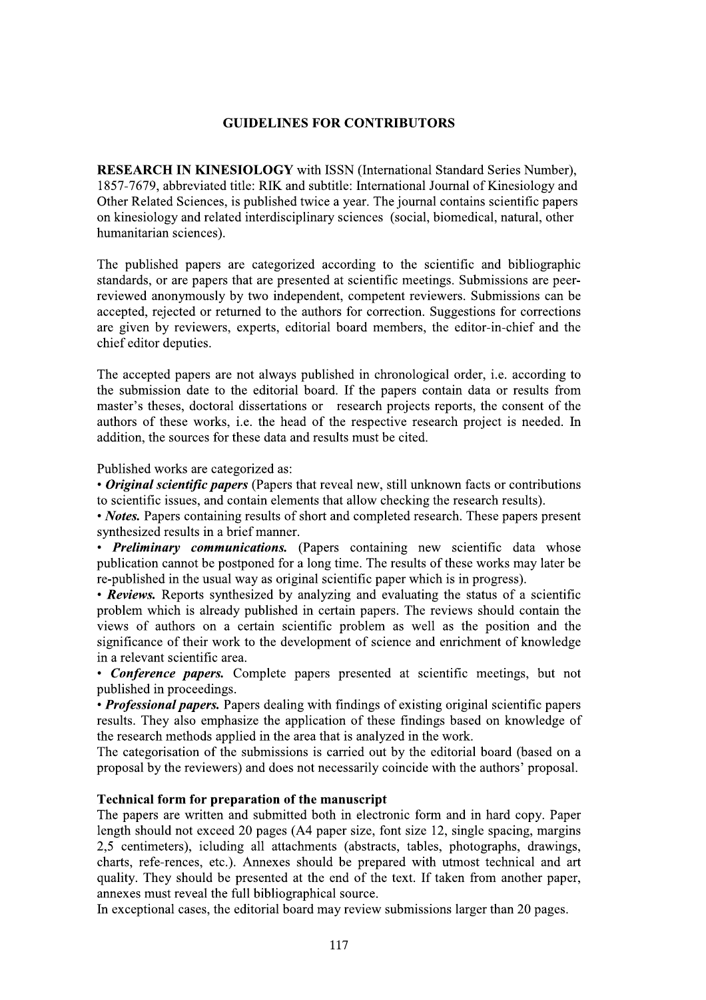## **GUIDELINES FOR CONTRIBUTORS**

**RESEARCH IN KINESIOLOGY** with ISSN (International Standard Series Number), 1857-7679, abbreviated title: RIK and subtitle: International Journal of Kinesiology and Other Related Sciences, is published twice a year. The journal contains scientific papers on kinesiology and related interdisciplinary sciences (social, biomedical, natural, other humanitarian sciences).

The published papers are categorized according to the scientific and bibliographic standards, or are papers that are presented at scientific meetings. Submissions are peerreviewed anonymously by two independent, competent reviewers. Submissions can be accepted, rejected or returned to the authors for correction. Suggestions for corrections are given by reviewers, experts, editorial board members, the editor-in-chief and the chief editor deputies.

The accepted papers are not always published in chronological order, i.e. according to the submission date to the editorial board. If the papers contain data or results from master's theses, doctoral dissertations or research projects reports, the consent of the authors of these works, i.e. the head of the respective research project is needed. In addition, the sources for these data and results must be cited.

Published works are categorized as:

• Original scientific papers (Papers that reveal new, still unknown facts or contributions to scientific issues, and contain elements that allow checking the research results).

• *Notes*. Papers containing results of short and completed research. These papers present synthesized results in a brief manner.

• Preliminary communications. (Papers containing new scientific data whose publication cannot be postponed for a long time. The results of these works may later be re-published in the usual way as original scientific paper which is in progress).

• Reviews. Reports synthesized by analyzing and evaluating the status of a scientific problem which is already published in certain papers. The reviews should contain the views of authors on a certain scientific problem as well as the position and the significance of their work to the development of science and enrichment of knowledge in a relevant scientific area.

• Conference papers. Complete papers presented at scientific meetings, but not published in proceedings.

• Professional papers. Papers dealing with findings of existing original scientific papers results. They also emphasize the application of these findings based on knowledge of the research methods applied in the area that is analyzed in the work.

The categorisation of the submissions is carried out by the editorial board (based on a proposal by the reviewers) and does not necessarily coincide with the authors' proposal.

#### Technical form for preparation of the manuscript

The papers are written and submitted both in electronic form and in hard copy. Paper length should not exceed 20 pages (A4 paper size, font size 12, single spacing, margins 2,5 centimeters), icluding all attachments (abstracts, tables, photographs, drawings, charts, refe-rences, etc.). Annexes should be prepared with utmost technical and art quality. They should be presented at the end of the text. If taken from another paper, annexes must reveal the full bibliographical source.

In exceptional cases, the editorial board may review submissions larger than 20 pages.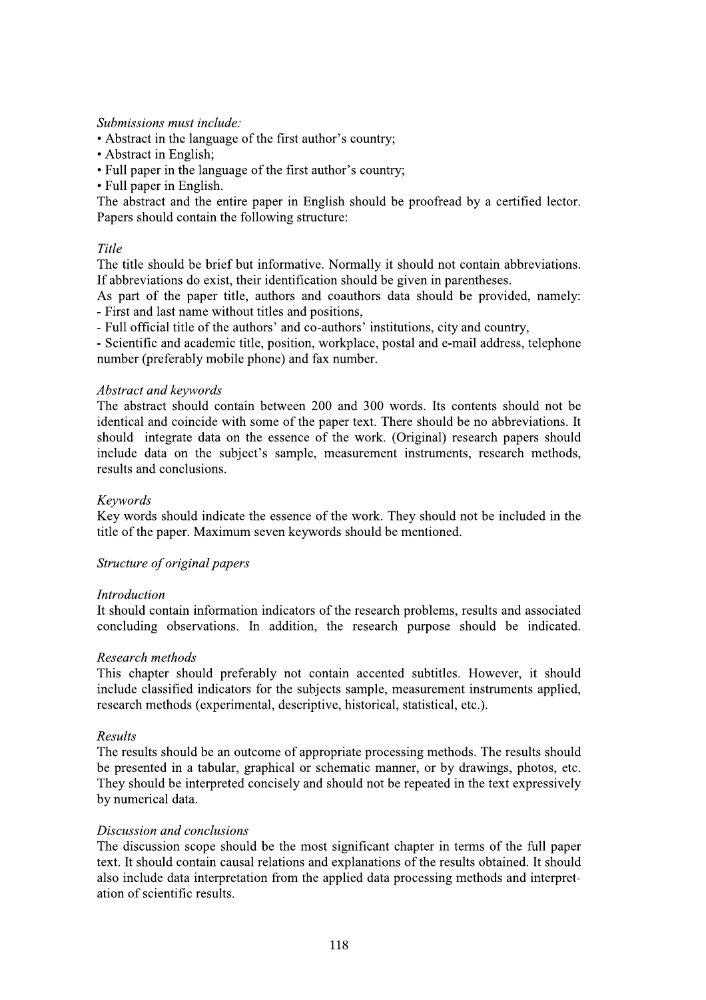#### Submissions must include:

- Abstract in the language of the first author's country;
- Abstract in English;
- Full paper in the language of the first author's country;
- Full paper in English.

The abstract and the entire paper in English should be proofread by a certified lector. Papers should contain the following structure:

#### Title

The title should be brief but informative. Normally it should not contain abbreviations. If abbreviations do exist, their identification should be given in parentheses.

As part of the paper title, authors and coauthors data should be provided, namely: - First and last name without titles and positions,

- Full official title of the authors' and co-authors' institutions, city and country,

- Scientific and academic title, position, workplace, postal and e-mail address, telephone number (preferably mobile phone) and fax number.

#### Abstract and keywords

The abstract should contain between 200 and 300 words. Its contents should not be identical and coincide with some of the paper text. There should be no abbreviations. It should integrate data on the essence of the work. (Original) research papers should include data on the subject's sample, measurement instruments, research methods, results and conclusions.

#### Keywords

Key words should indicate the essence of the work. They should not be included in the title of the paper. Maximum seven keywords should be mentioned.

## Structure of original papers

#### **Introduction**

It should contain information indicators of the research problems, results and associated concluding observations. In addition, the research purpose should be indicated.

#### Research methods

This chapter should preferably not contain accented subtitles. However, it should include classified indicators for the subjects sample, measurement instruments applied, research methods (experimental, descriptive, historical, statistical, etc.).

#### Results

The results should be an outcome of appropriate processing methods. The results should be presented in a tabular, graphical or schematic manner, or by drawings, photos, etc. They should be interpreted concisely and should not be repeated in the text expressively by numerical data.

#### Discussion and conclusions

The discussion scope should be the most significant chapter in terms of the full paper text. It should contain causal relations and explanations of the results obtained. It should also include data interpretation from the applied data processing methods and interpretation of scientific results.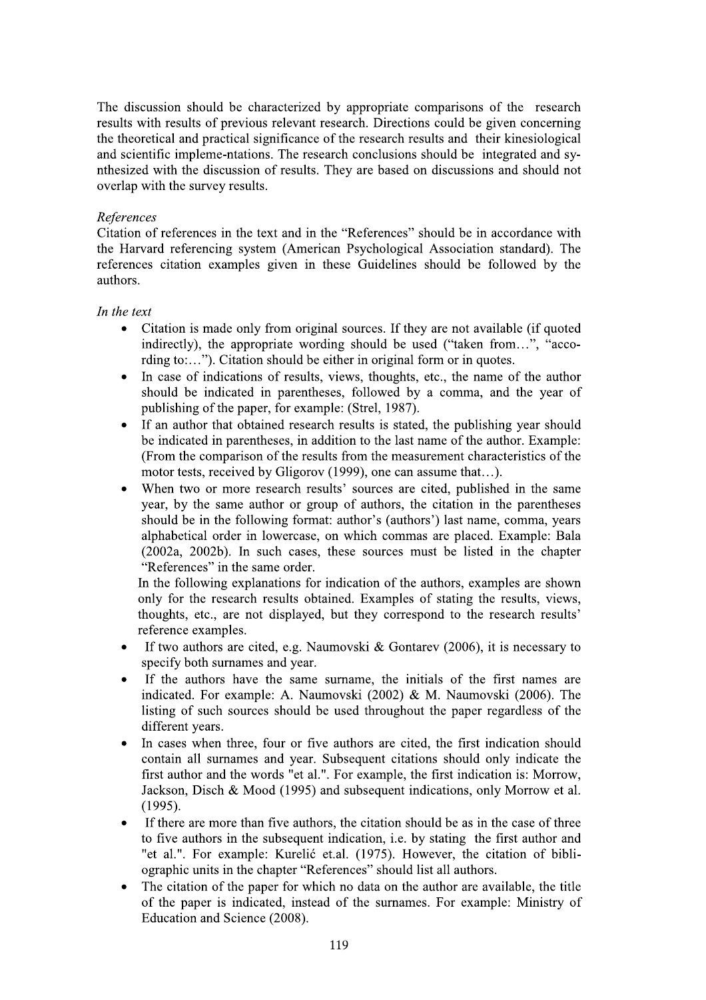The discussion should be characterized by appropriate comparisons of the research results with results of previous relevant research. Directions could be given concerning the theoretical and practical significance of the research results and their kinesiological and scientific impleme-ntations. The research conclusions should be integrated and synthesized with the discussion of results. They are based on discussions and should not overlap with the survey results.

#### References

Citation of references in the text and in the "References" should be in accordance with the Harvard referencing system (American Psychological Association standard). The references citation examples given in these Guidelines should be followed by the authors.

#### In the text

- Citation is made only from original sources. If they are not available (if quoted  $\bullet$ indirectly), the appropriate wording should be used ("taken from...", "according to:..."). Citation should be either in original form or in quotes.
- In case of indications of results, views, thoughts, etc., the name of the author should be indicated in parentheses, followed by a comma, and the year of publishing of the paper, for example: (Strel, 1987).
- If an author that obtained research results is stated, the publishing year should  $\bullet$ be indicated in parentheses, in addition to the last name of the author. Example: (From the comparison of the results from the measurement characteristics of the motor tests, received by Gligorov (1999), one can assume that...).
- When two or more research results' sources are cited, published in the same year, by the same author or group of authors, the citation in the parentheses should be in the following format: author's (authors') last name, comma, years alphabetical order in lowercase, on which commas are placed. Example: Bala (2002a, 2002b). In such cases, these sources must be listed in the chapter "References" in the same order.

In the following explanations for indication of the authors, examples are shown only for the research results obtained. Examples of stating the results, views, thoughts, etc., are not displayed, but they correspond to the research results' reference examples.

- If two authors are cited, e.g. Naumovski & Gontarev (2006), it is necessary to  $\bullet$ specify both surnames and year.
- If the authors have the same surname, the initials of the first names are indicated. For example: A. Naumovski (2002) & M. Naumovski (2006). The listing of such sources should be used throughout the paper regardless of the different years.
- In cases when three, four or five authors are cited, the first indication should contain all surnames and year. Subsequent citations should only indicate the first author and the words "et al.". For example, the first indication is: Morrow, Jackson, Disch & Mood (1995) and subsequent indications, only Morrow et al.  $(1995).$
- If there are more than five authors, the citation should be as in the case of three to five authors in the subsequent indication, i.e. by stating the first author and "et al.". For example: Kurelić et.al. (1975). However, the citation of bibliographic units in the chapter "References" should list all authors.
- The citation of the paper for which no data on the author are available, the title of the paper is indicated, instead of the surnames. For example: Ministry of Education and Science (2008).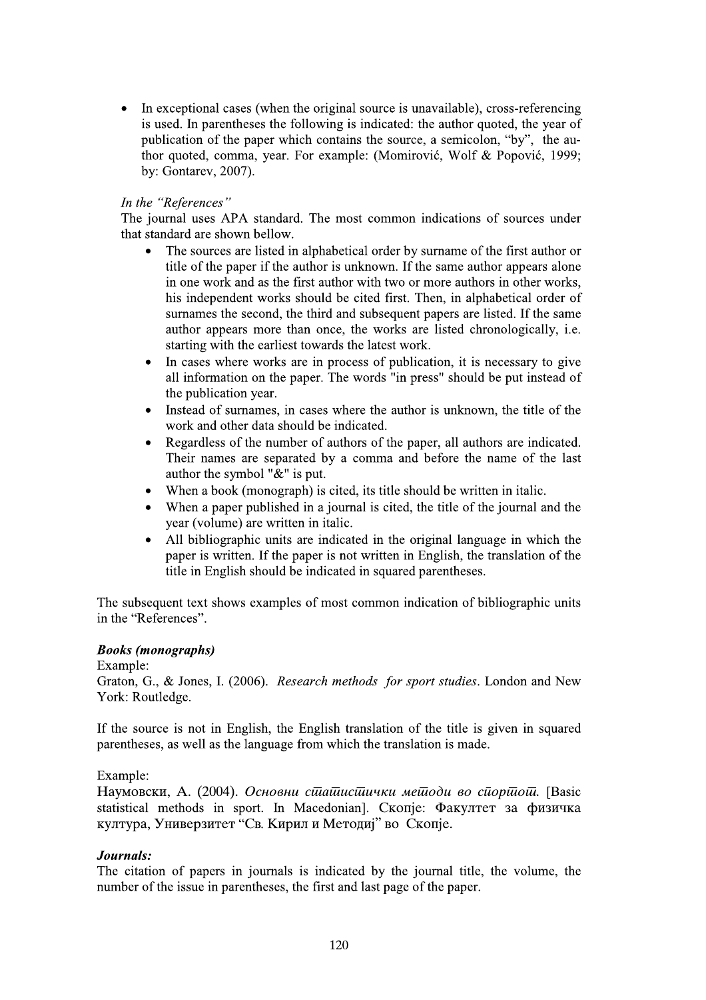In exceptional cases (when the original source is unavailable), cross-referencing is used. In parentheses the following is indicated: the author quoted, the year of publication of the paper which contains the source, a semicolon, "by", the author quoted, comma, year. For example: (Momirović, Wolf & Popović, 1999; by: Gontarev, 2007).

## In the "References"

The journal uses APA standard. The most common indications of sources under that standard are shown bellow.

- The sources are listed in alphabetical order by surname of the first author or title of the paper if the author is unknown. If the same author appears alone in one work and as the first author with two or more authors in other works, his independent works should be cited first. Then, in alphabetical order of surnames the second, the third and subsequent papers are listed. If the same author appears more than once, the works are listed chronologically, i.e. starting with the earliest towards the latest work.
- In cases where works are in process of publication, it is necessary to give  $\bullet$ all information on the paper. The words "in press" should be put instead of the publication year.
- Instead of surnames, in cases where the author is unknown, the title of the work and other data should be indicated.
- Regardless of the number of authors of the paper, all authors are indicated.  $\bullet$ Their names are separated by a comma and before the name of the last author the symbol "&" is put.
- When a book (monograph) is cited, its title should be written in italic.  $\bullet$
- When a paper published in a journal is cited, the title of the journal and the year (volume) are written in italic.
- All bibliographic units are indicated in the original language in which the  $\bullet$ paper is written. If the paper is not written in English, the translation of the title in English should be indicated in squared parentheses.

The subsequent text shows examples of most common indication of bibliographic units in the "References".

## **Books** (monographs)

Example:

Graton, G., & Jones, I. (2006). Research methods for sport studies. London and New York: Routledge.

If the source is not in English, the English translation of the title is given in squared parentheses, as well as the language from which the translation is made.

## Example:

Наумовски, А. (2004). Основни синашисшички мешоди во сиоринош. [Basic statistical methods in sport. In Macedonian]. Скопје: Факултет за физичка култура, Универзитет "Св. Кирил и Методиј" во Скопје.

## Journals:

The citation of papers in journals is indicated by the journal title, the volume, the number of the issue in parentheses, the first and last page of the paper.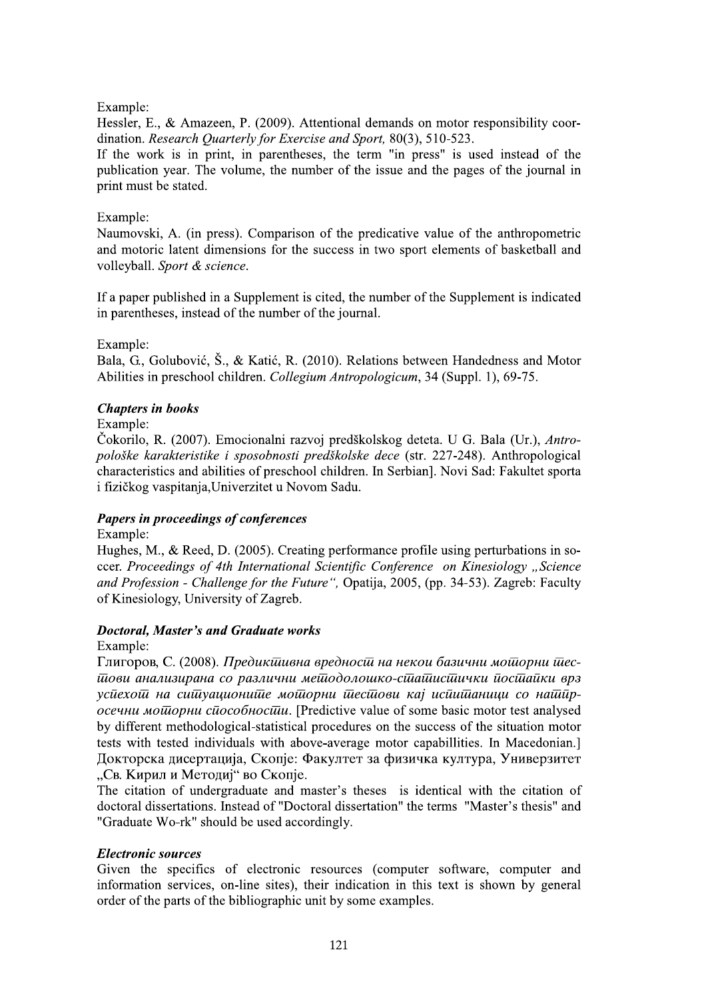# Example:

Hessler, E., & Amazeen, P. (2009). Attentional demands on motor responsibility coordination. Research Quarterly for Exercise and Sport, 80(3), 510-523.

If the work is in print, in parentheses, the term "in press" is used instead of the publication year. The volume, the number of the issue and the pages of the journal in print must be stated.

## Example:

Naumovski, A. (in press). Comparison of the predicative value of the anthropometric and motoric latent dimensions for the success in two sport elements of basketball and volleyball. Sport & science.

If a paper published in a Supplement is cited, the number of the Supplement is indicated in parentheses, instead of the number of the journal.

# Example:

Bala, G., Golubović, Š., & Katić, R. (2010). Relations between Handedness and Motor Abilities in preschool children. Collegium Antropologicum, 34 (Suppl. 1), 69-75.

# **Chapters in books**

Example:

Čokorilo, R. (2007). Emocionalni razvoj predškolskog deteta. U G. Bala (Ur.), Antropološke karakteristike i sposobnosti predškolske dece (str. 227-248). Anthropological characteristics and abilities of preschool children. In Serbian]. Novi Sad: Fakultet sporta i fizičkog vaspitanja, Univerzitet u Novom Sadu.

# Papers in proceedings of conferences

Example:

Hughes, M., & Reed, D. (2005). Creating performance profile using perturbations in soccer. Proceedings of 4th International Scientific Conference on Kinesiology "Science and Profession - Challenge for the Future", Opatija, 2005, (pp. 34-53). Zagreb: Faculty of Kinesiology, University of Zagreb.

## **Doctoral, Master's and Graduate works**

Example:

Глигоров, С. (2008). Предикшивна вредности на некои базични моторни тесшови анализирана со различни мешодолошко-сшашисшички йосшайки врз усиехош на сишуационише мошорни шесшови кај исиишаници со наширосечни мошорни сидеобностии. [Predictive value of some basic motor test analysed by different methodological-statistical procedures on the success of the situation motor tests with tested individuals with above-average motor capabillities. In Macedonian.] Докторска дисертација, Скопје: Факултет за физичка култура, Универзитет "Св. Кирил и Методиј" во Скопје.

The citation of undergraduate and master's theses is identical with the citation of doctoral dissertations. Instead of "Doctoral dissertation" the terms "Master's thesis" and "Graduate Wo-rk" should be used accordingly.

## **Electronic sources**

Given the specifics of electronic resources (computer software, computer and information services, on-line sites), their indication in this text is shown by general order of the parts of the bibliographic unit by some examples.